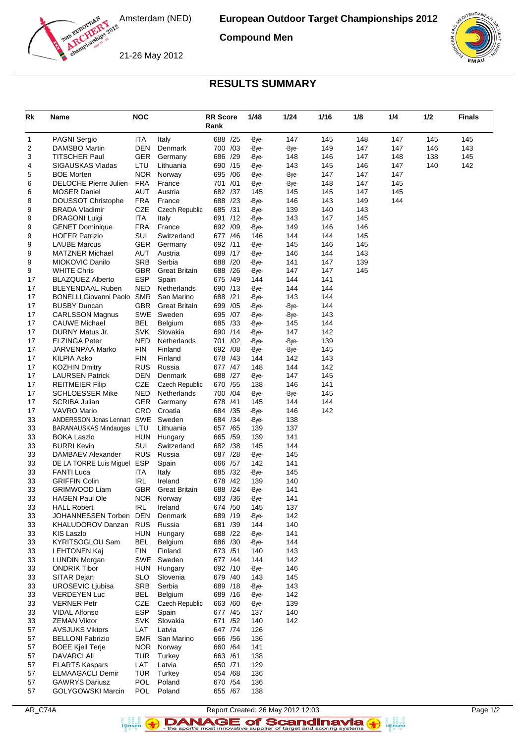

**Compound Men**

21-26 May 2012



## **RESULTS SUMMARY**

| Rk       | Name                                          | <b>NOC</b>               |                                    | <b>RR Score</b><br>Rank | 1/48           | 1/24           | 1/16       | 1/8        | 1/4        | 1/2 | <b>Finals</b> |
|----------|-----------------------------------------------|--------------------------|------------------------------------|-------------------------|----------------|----------------|------------|------------|------------|-----|---------------|
| 1        | <b>PAGNI Sergio</b>                           | <b>ITA</b>               | Italy                              | 688 /25                 | -Bye-          | 147            | 145        | 148        | 147        | 145 | 145           |
| 2        | DAMSBO Martin                                 | <b>DEN</b>               | Denmark                            | 700 /03                 | -Bye-          | -Bye-          | 149        | 147        | 147        | 146 | 143           |
| 3        | TITSCHER Paul                                 | <b>GER</b>               | Germany                            | 686 /29                 | -Bye-          | 148            | 146        | 147        | 148        | 138 | 145           |
| 4        | SIGAUSKAS Vladas                              | LTU                      | Lithuania                          | 690 /15                 | -Bye-          | 143            | 145        | 146        | 147        | 140 | 142           |
| 5        | <b>BOE Morten</b>                             | <b>NOR</b>               | Norway                             | 695 / 06                | -Bye-          | -Bye-          | 147        | 147        | 147        |     |               |
| 6        | DELOCHE Pierre Julien                         | <b>FRA</b>               | France                             | 701 /01                 | -Bye-          | -Bye-          | 148        | 147        | 145        |     |               |
| 6<br>8   | <b>MOSER Daniel</b><br>DOUSSOT Christophe     | AUT<br><b>FRA</b>        | Austria<br>France                  | 682 /37<br>688 /23      | 145<br>-Bye-   | 145<br>146     | 145<br>143 | 147<br>149 | 145<br>144 |     |               |
| 9        | <b>BRADA Vladimir</b>                         | <b>CZE</b>               | <b>Czech Republic</b>              | 685 /31                 | -Bye-          | 139            | 140        | 143        |            |     |               |
| 9        | <b>DRAGONI Luigi</b>                          | <b>ITA</b>               | Italy                              | 691 /12                 | -Bye-          | 143            | 147        | 145        |            |     |               |
| 9        | <b>GENET Dominique</b>                        | <b>FRA</b>               | France                             | 692 /09                 | -Bye-          | 149            | 146        | 146        |            |     |               |
| 9        | <b>HOFER Patrizio</b>                         | <b>SUI</b>               | Switzerland                        | 677 / 46                | 146            | 144            | 144        | 145        |            |     |               |
| 9        | <b>LAUBE Marcus</b>                           | <b>GER</b>               | Germany                            | 692 /11                 | -Bye-          | 145            | 146        | 145        |            |     |               |
| 9        | <b>MATZNER Michael</b>                        | AUT                      | Austria                            | 689 /17                 | -Bye-          | 146            | 144        | 143        |            |     |               |
| 9        | MIOKOVIC Danilo                               | <b>SRB</b>               | Serbia                             | 688 /20                 | -Bye-          | 141            | 147        | 139        |            |     |               |
| 9        | <b>WHITE Chris</b>                            | <b>GBR</b>               | <b>Great Britain</b>               | 688 /26                 | -Bye-          | 147            | 147        | 145        |            |     |               |
| 17       | <b>BLAZQUEZ Alberto</b>                       | <b>ESP</b>               | Spain                              | 675 /49                 | 144            | 144            | 141        |            |            |     |               |
| 17       | BLEYENDAAL Ruben                              | NED                      | Netherlands                        | 690 /13                 | -Bye-          | 144            | 144        |            |            |     |               |
| 17<br>17 | <b>BONELLI Giovanni Paolo</b>                 | <b>SMR</b><br><b>GBR</b> | San Marino<br><b>Great Britain</b> | 688 /21<br>699 /05      | -Bye-          | 143            | 144<br>144 |            |            |     |               |
| 17       | <b>BUSBY Duncan</b><br><b>CARLSSON Magnus</b> | SWE                      | Sweden                             | /07<br>695              | -Bye-<br>-Bye- | -Bye-<br>-Bye- | 143        |            |            |     |               |
| 17       | <b>CAUWE Michael</b>                          | <b>BEL</b>               | Belgium                            | 685 /33                 | -Bye-          | 145            | 144        |            |            |     |               |
| 17       | DURNY Matus Jr.                               | SVK                      | Slovakia                           | 690 /14                 | -Bye-          | 147            | 142        |            |            |     |               |
| 17       | <b>ELZINGA Peter</b>                          | NED                      | Netherlands                        | /02<br>701              | -Bye-          | -Bye-          | 139        |            |            |     |               |
| 17       | JARVENPAA Marko                               | <b>FIN</b>               | Finland                            | 692 /08                 | -Bye-          | -Bye-          | 145        |            |            |     |               |
| 17       | <b>KILPIA Asko</b>                            | FIN                      | Finland                            | 678 /43                 | 144            | 142            | 143        |            |            |     |               |
| 17       | <b>KOZHIN Dmitry</b>                          | <b>RUS</b>               | Russia                             | 677 / 47                | 148            | 144            | 142        |            |            |     |               |
| 17       | <b>LAURSEN Patrick</b>                        | <b>DEN</b>               | Denmark                            | 688 /27                 | -Bye-          | 147            | 145        |            |            |     |               |
| 17       | <b>REITMEIER Filip</b>                        | CZE                      | <b>Czech Republic</b>              | 670 /55                 | 138            | 146            | 141        |            |            |     |               |
| 17       | <b>SCHLOESSER Mike</b>                        | <b>NED</b>               | Netherlands                        | /04<br>700              | -Bye-          | -Bye-          | 145        |            |            |     |               |
| 17<br>17 | <b>SCRIBA Julian</b>                          | <b>GER</b><br>CRO        | Germany<br>Croatia                 | 678 /41<br>684 /35      | 145            | 144<br>146     | 144<br>142 |            |            |     |               |
| 33       | VAVRO Mario<br>ANDERSSON Jonas Lennart SWE    |                          | Sweden                             | 684 / 34                | -Bye-<br>-Bye- | 138            |            |            |            |     |               |
| 33       | BARANAUSKAS Mindaugas                         | LTU                      | Lithuania                          | 657 / 65                | 139            | 137            |            |            |            |     |               |
| 33       | <b>BOKA Laszlo</b>                            | <b>HUN</b>               | Hungary                            | 665 /59                 | 139            | 141            |            |            |            |     |               |
| 33       | <b>BURRI Kevin</b>                            | SUI                      | Switzerland                        | 682 /38                 | 145            | 144            |            |            |            |     |               |
| 33       | DAMBAEV Alexander                             | <b>RUS</b>               | Russia                             | 687 /28                 | -Bye-          | 145            |            |            |            |     |               |
| 33       | DE LA TORRE Luis Miguel                       | ESP                      | Spain                              | 666 / 57                | 142            | 141            |            |            |            |     |               |
| 33       | <b>FANTI Luca</b>                             | <b>ITA</b>               | Italy                              | 685 /32                 | -Bye-          | 145            |            |            |            |     |               |
| 33       | <b>GRIFFIN Colin</b>                          | <b>IRL</b>               | Ireland                            | 678 /42                 | 139            | 140            |            |            |            |     |               |
| 33       | GRIMWOOD Liam                                 | GBR                      | <b>Great Britain</b>               | 688<br>/24              | -Bye-          | 141            |            |            |            |     |               |
| 33       | <b>HAGEN Paul Ole</b>                         | <b>NOR</b>               | Norway                             | 683 /36                 | -Bye-          | 141            |            |            |            |     |               |
| 33<br>33 | <b>HALL Robert</b><br>JOHANNESSEN Torben      | <b>IRL</b><br>DEN        | Ireland<br>Denmark                 | 674 / 50<br>689 /19     | 145<br>-Bye-   | 137<br>142     |            |            |            |     |               |
| 33       | <b>KHALUDOROV Danzan</b>                      | <b>RUS</b>               | Russia                             | 681 /39                 | 144            | 140            |            |            |            |     |               |
| 33       | <b>KIS Laszlo</b>                             | HUN                      | Hungary                            | 688 /22                 | -Bye-          | 141            |            |            |            |     |               |
| 33       | KYRITSOGLOU Sam                               | BEL                      | Belgium                            | 686 /30                 | -Bye-          | 144            |            |            |            |     |               |
| 33       | <b>LEHTONEN Kaj</b>                           | <b>FIN</b>               | Finland                            | 673 /51                 | 140            | 143            |            |            |            |     |               |
| 33       | <b>LUNDIN Morgan</b>                          | SWE                      | Sweden                             | 677 /44                 | 144            | 142            |            |            |            |     |               |
| 33       | <b>ONDRIK Tibor</b>                           | <b>HUN</b>               | Hungary                            | 692 /10                 | -Bye-          | 146            |            |            |            |     |               |
| 33       | SITAR Dejan                                   | <b>SLO</b>               | Slovenia                           | 679 /40                 | 143            | 145            |            |            |            |     |               |
| 33       | <b>UROSEVIC Ljubisa</b>                       | <b>SRB</b>               | Serbia                             | 689 /18                 | -Bye-          | 143            |            |            |            |     |               |
| 33       | <b>VERDEYEN Luc</b>                           | <b>BEL</b>               | Belgium                            | 689 /16                 | -Bye-          | 142            |            |            |            |     |               |
| 33<br>33 | <b>VERNER Petr</b>                            | CZE                      | <b>Czech Republic</b><br>Spain     | 663 /60                 | -Bye-<br>137   | 139<br>140     |            |            |            |     |               |
| 33       | <b>VIDAL Alfonso</b><br><b>ZEMAN Viktor</b>   | ESP<br><b>SVK</b>        | Slovakia                           | 677 / 45<br>671 /52     | 140            | 142            |            |            |            |     |               |
| 57       | <b>AVSJUKS Viktors</b>                        | LAT                      | Latvia                             | 647 /74                 | 126            |                |            |            |            |     |               |
| 57       | <b>BELLONI Fabrizio</b>                       | SMR                      | San Marino                         | 666 / 56                | 136            |                |            |            |            |     |               |
| 57       | <b>BOEE Kjell Terje</b>                       | <b>NOR</b>               | Norway                             | 660 / 64                | 141            |                |            |            |            |     |               |
| 57       | <b>DAVARCI Ali</b>                            | TUR                      | Turkey                             | 663 / 61                | 138            |                |            |            |            |     |               |
| 57       | <b>ELARTS Kaspars</b>                         | LAT                      | Latvia                             | 650 /71                 | 129            |                |            |            |            |     |               |
| 57       | <b>ELMAAGACLI Demir</b>                       | <b>TUR</b>               | Turkey                             | 654 / 68                | 136            |                |            |            |            |     |               |
| 57       | <b>GAWRYS Dariusz</b>                         | <b>POL</b>               | Poland                             | 670 / 54                | 136            |                |            |            |            |     |               |
| 57       | <b>GOLYGOWSKI Marcin</b>                      | <b>POL</b>               | Poland                             | 655 / 67                | 138            |                |            |            |            |     |               |

a an<br>i@nseo

Report Created: 26 May 2012 12:03<br>Page 1/2<br>Report Scandinavia (1)<br>the sport's most innovative supplier of target and scoring systems<br> $\bullet$